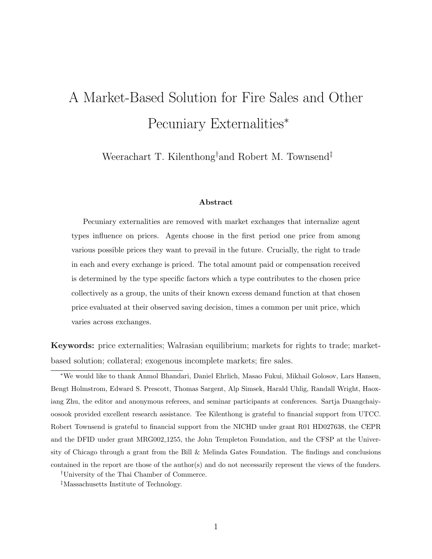# <span id="page-0-0"></span>A Market-Based Solution for Fire Sales and Other Pecuniary Externalities<sup>∗</sup>

Weerachart T. Kilenthong†and Robert M. Townsend‡

#### Abstract

Pecuniary externalities are removed with market exchanges that internalize agent types influence on prices. Agents choose in the first period one price from among various possible prices they want to prevail in the future. Crucially, the right to trade in each and every exchange is priced. The total amount paid or compensation received is determined by the type specific factors which a type contributes to the chosen price collectively as a group, the units of their known excess demand function at that chosen price evaluated at their observed saving decision, times a common per unit price, which varies across exchanges.

Keywords: price externalities; Walrasian equilibrium; markets for rights to trade; marketbased solution; collateral; exogenous incomplete markets; fire sales.

<sup>∗</sup>We would like to thank Anmol Bhandari, Daniel Ehrlich, Masao Fukui, Mikhail Golosov, Lars Hansen, Bengt Holmstrom, Edward S. Prescott, Thomas Sargent, Alp Simsek, Harald Uhlig, Randall Wright, Haoxiang Zhu, the editor and anonymous referees, and seminar participants at conferences. Sartja Duangchaiyoosook provided excellent research assistance. Tee Kilenthong is grateful to financial support from UTCC. Robert Townsend is grateful to financial support from the NICHD under grant R01 HD027638, the CEPR and the DFID under grant MRG002 1255, the John Templeton Foundation, and the CFSP at the University of Chicago through a grant from the Bill & Melinda Gates Foundation. The findings and conclusions contained in the report are those of the author(s) and do not necessarily represent the views of the funders.

†University of the Thai Chamber of Commerce.

‡Massachusetts Institute of Technology.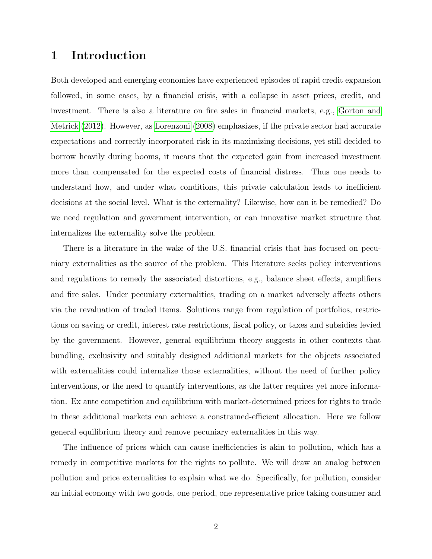## 1 Introduction

Both developed and emerging economies have experienced episodes of rapid credit expansion followed, in some cases, by a financial crisis, with a collapse in asset prices, credit, and investment. There is also a literature on fire sales in financial markets, e.g., [Gorton and](#page-20-0) [Metrick](#page-20-0) [\(2012\)](#page-20-0). However, as [Lorenzoni](#page-20-1) [\(2008\)](#page-20-1) emphasizes, if the private sector had accurate expectations and correctly incorporated risk in its maximizing decisions, yet still decided to borrow heavily during booms, it means that the expected gain from increased investment more than compensated for the expected costs of financial distress. Thus one needs to understand how, and under what conditions, this private calculation leads to inefficient decisions at the social level. What is the externality? Likewise, how can it be remedied? Do we need regulation and government intervention, or can innovative market structure that internalizes the externality solve the problem.

There is a literature in the wake of the U.S. financial crisis that has focused on pecuniary externalities as the source of the problem. This literature seeks policy interventions and regulations to remedy the associated distortions, e.g., balance sheet effects, amplifiers and fire sales. Under pecuniary externalities, trading on a market adversely affects others via the revaluation of traded items. Solutions range from regulation of portfolios, restrictions on saving or credit, interest rate restrictions, fiscal policy, or taxes and subsidies levied by the government. However, general equilibrium theory suggests in other contexts that bundling, exclusivity and suitably designed additional markets for the objects associated with externalities could internalize those externalities, without the need of further policy interventions, or the need to quantify interventions, as the latter requires yet more information. Ex ante competition and equilibrium with market-determined prices for rights to trade in these additional markets can achieve a constrained-efficient allocation. Here we follow general equilibrium theory and remove pecuniary externalities in this way.

The influence of prices which can cause inefficiencies is akin to pollution, which has a remedy in competitive markets for the rights to pollute. We will draw an analog between pollution and price externalities to explain what we do. Specifically, for pollution, consider an initial economy with two goods, one period, one representative price taking consumer and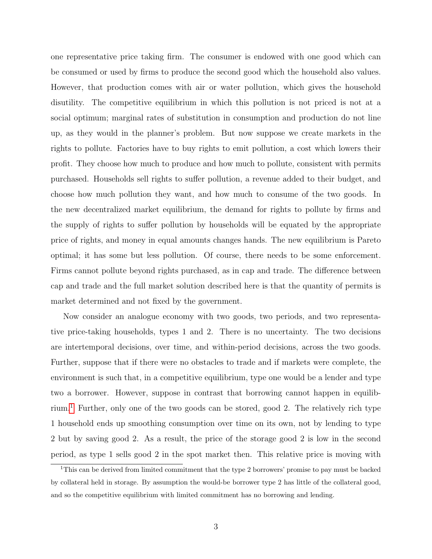one representative price taking firm. The consumer is endowed with one good which can be consumed or used by firms to produce the second good which the household also values. However, that production comes with air or water pollution, which gives the household disutility. The competitive equilibrium in which this pollution is not priced is not at a social optimum; marginal rates of substitution in consumption and production do not line up, as they would in the planner's problem. But now suppose we create markets in the rights to pollute. Factories have to buy rights to emit pollution, a cost which lowers their profit. They choose how much to produce and how much to pollute, consistent with permits purchased. Households sell rights to suffer pollution, a revenue added to their budget, and choose how much pollution they want, and how much to consume of the two goods. In the new decentralized market equilibrium, the demand for rights to pollute by firms and the supply of rights to suffer pollution by households will be equated by the appropriate price of rights, and money in equal amounts changes hands. The new equilibrium is Pareto optimal; it has some but less pollution. Of course, there needs to be some enforcement. Firms cannot pollute beyond rights purchased, as in cap and trade. The difference between cap and trade and the full market solution described here is that the quantity of permits is market determined and not fixed by the government.

Now consider an analogue economy with two goods, two periods, and two representative price-taking households, types 1 and 2. There is no uncertainty. The two decisions are intertemporal decisions, over time, and within-period decisions, across the two goods. Further, suppose that if there were no obstacles to trade and if markets were complete, the environment is such that, in a competitive equilibrium, type one would be a lender and type two a borrower. However, suppose in contrast that borrowing cannot happen in equilib-rium.<sup>[1](#page-2-0)</sup> Further, only one of the two goods can be stored, good 2. The relatively rich type 1 household ends up smoothing consumption over time on its own, not by lending to type 2 but by saving good 2. As a result, the price of the storage good 2 is low in the second period, as type 1 sells good 2 in the spot market then. This relative price is moving with

<span id="page-2-0"></span><sup>&</sup>lt;sup>1</sup>This can be derived from limited commitment that the type 2 borrowers' promise to pay must be backed by collateral held in storage. By assumption the would-be borrower type 2 has little of the collateral good, and so the competitive equilibrium with limited commitment has no borrowing and lending.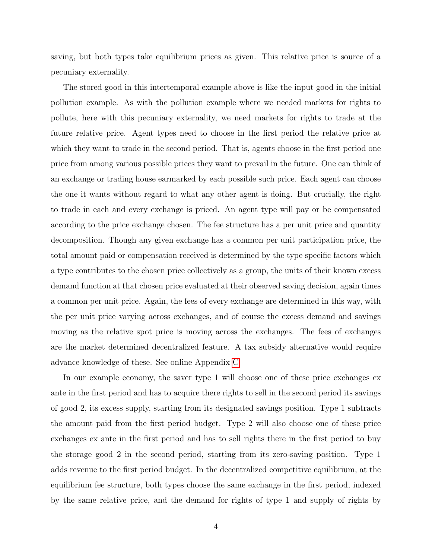saving, but both types take equilibrium prices as given. This relative price is source of a pecuniary externality.

The stored good in this intertemporal example above is like the input good in the initial pollution example. As with the pollution example where we needed markets for rights to pollute, here with this pecuniary externality, we need markets for rights to trade at the future relative price. Agent types need to choose in the first period the relative price at which they want to trade in the second period. That is, agents choose in the first period one price from among various possible prices they want to prevail in the future. One can think of an exchange or trading house earmarked by each possible such price. Each agent can choose the one it wants without regard to what any other agent is doing. But crucially, the right to trade in each and every exchange is priced. An agent type will pay or be compensated according to the price exchange chosen. The fee structure has a per unit price and quantity decomposition. Though any given exchange has a common per unit participation price, the total amount paid or compensation received is determined by the type specific factors which a type contributes to the chosen price collectively as a group, the units of their known excess demand function at that chosen price evaluated at their observed saving decision, again times a common per unit price. Again, the fees of every exchange are determined in this way, with the per unit price varying across exchanges, and of course the excess demand and savings moving as the relative spot price is moving across the exchanges. The fees of exchanges are the market determined decentralized feature. A tax subsidy alternative would require advance knowledge of these. See online Appendix [C.](#page-0-0)

In our example economy, the saver type 1 will choose one of these price exchanges ex ante in the first period and has to acquire there rights to sell in the second period its savings of good 2, its excess supply, starting from its designated savings position. Type 1 subtracts the amount paid from the first period budget. Type 2 will also choose one of these price exchanges ex ante in the first period and has to sell rights there in the first period to buy the storage good 2 in the second period, starting from its zero-saving position. Type 1 adds revenue to the first period budget. In the decentralized competitive equilibrium, at the equilibrium fee structure, both types choose the same exchange in the first period, indexed by the same relative price, and the demand for rights of type 1 and supply of rights by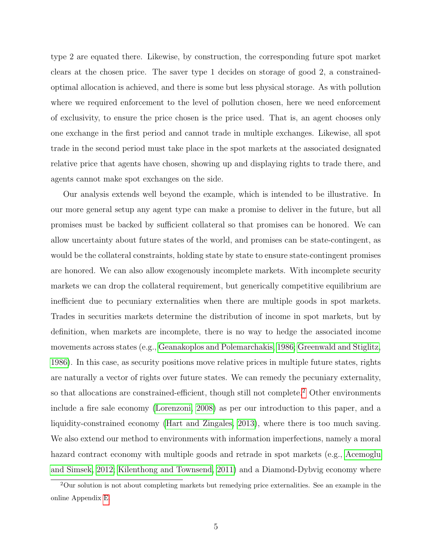type 2 are equated there. Likewise, by construction, the corresponding future spot market clears at the chosen price. The saver type 1 decides on storage of good 2, a constrainedoptimal allocation is achieved, and there is some but less physical storage. As with pollution where we required enforcement to the level of pollution chosen, here we need enforcement of exclusivity, to ensure the price chosen is the price used. That is, an agent chooses only one exchange in the first period and cannot trade in multiple exchanges. Likewise, all spot trade in the second period must take place in the spot markets at the associated designated relative price that agents have chosen, showing up and displaying rights to trade there, and agents cannot make spot exchanges on the side.

Our analysis extends well beyond the example, which is intended to be illustrative. In our more general setup any agent type can make a promise to deliver in the future, but all promises must be backed by sufficient collateral so that promises can be honored. We can allow uncertainty about future states of the world, and promises can be state-contingent, as would be the collateral constraints, holding state by state to ensure state-contingent promises are honored. We can also allow exogenously incomplete markets. With incomplete security markets we can drop the collateral requirement, but generically competitive equilibrium are inefficient due to pecuniary externalities when there are multiple goods in spot markets. Trades in securities markets determine the distribution of income in spot markets, but by definition, when markets are incomplete, there is no way to hedge the associated income movements across states (e.g., [Geanakoplos and Polemarchakis, 1986;](#page-20-2) [Greenwald and Stiglitz,](#page-20-3) [1986\)](#page-20-3). In this case, as security positions move relative prices in multiple future states, rights are naturally a vector of rights over future states. We can remedy the pecuniary externality, so that allocations are constrained-efficient, though still not complete.<sup>[2](#page-4-0)</sup> Other environments include a fire sale economy [\(Lorenzoni, 2008\)](#page-20-1) as per our introduction to this paper, and a liquidity-constrained economy [\(Hart and Zingales, 2013\)](#page-20-4), where there is too much saving. We also extend our method to environments with information imperfections, namely a moral hazard contract economy with multiple goods and retrade in spot markets (e.g., [Acemoglu](#page-19-0) [and Simsek, 2012;](#page-19-0) [Kilenthong and Townsend, 2011\)](#page-20-5) and a Diamond-Dybvig economy where

<span id="page-4-0"></span><sup>2</sup>Our solution is not about completing markets but remedying price externalities. See an example in the online Appendix [E.](#page-0-0)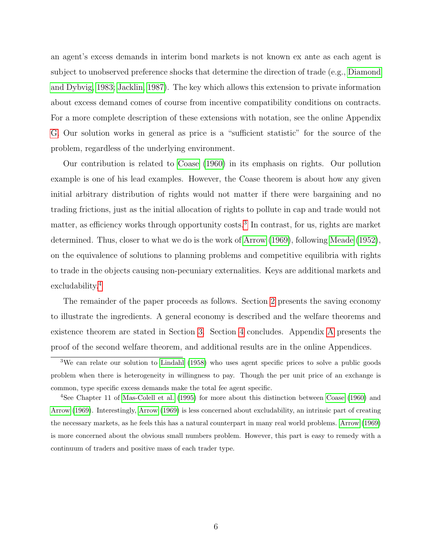an agent's excess demands in interim bond markets is not known ex ante as each agent is subject to unobserved preference shocks that determine the direction of trade (e.g., [Diamond](#page-20-6) [and Dybvig, 1983;](#page-20-6) [Jacklin, 1987\)](#page-20-7). The key which allows this extension to private information about excess demand comes of course from incentive compatibility conditions on contracts. For a more complete description of these extensions with notation, see the online Appendix [G.](#page-0-0) Our solution works in general as price is a "sufficient statistic" for the source of the problem, regardless of the underlying environment.

Our contribution is related to [Coase](#page-19-1) [\(1960\)](#page-19-1) in its emphasis on rights. Our pollution example is one of his lead examples. However, the Coase theorem is about how any given initial arbitrary distribution of rights would not matter if there were bargaining and no trading frictions, just as the initial allocation of rights to pollute in cap and trade would not matter, as efficiency works through opportunity costs.<sup>[3](#page-5-0)</sup> In contrast, for us, rights are market determined. Thus, closer to what we do is the work of [Arrow](#page-19-2) [\(1969\)](#page-19-2), following [Meade](#page-20-8) [\(1952\)](#page-20-8), on the equivalence of solutions to planning problems and competitive equilibria with rights to trade in the objects causing non-pecuniary externalities. Keys are additional markets and excludability.[4](#page-5-1)

The remainder of the paper proceeds as follows. Section [2](#page-6-0) presents the saving economy to illustrate the ingredients. A general economy is described and the welfare theorems and existence theorem are stated in Section [3.](#page-14-0) Section [4](#page-17-0) concludes. Appendix [A](#page-21-0) presents the proof of the second welfare theorem, and additional results are in the online Appendices.

<span id="page-5-0"></span><sup>&</sup>lt;sup>3</sup>We can relate our solution to [Lindahl](#page-20-9) [\(1958\)](#page-20-9) who uses agent specific prices to solve a public goods problem when there is heterogeneity in willingness to pay. Though the per unit price of an exchange is common, type specific excess demands make the total fee agent specific.

<span id="page-5-1"></span><sup>4</sup>See Chapter 11 of [Mas-Colell et al.](#page-20-10) [\(1995\)](#page-20-10) for more about this distinction between [Coase](#page-19-1) [\(1960\)](#page-19-1) and [Arrow](#page-19-2) [\(1969\)](#page-19-2). Interestingly, [Arrow](#page-19-2) [\(1969\)](#page-19-2) is less concerned about excludability, an intrinsic part of creating the necessary markets, as he feels this has a natural counterpart in many real world problems. [Arrow](#page-19-2) [\(1969\)](#page-19-2) is more concerned about the obvious small numbers problem. However, this part is easy to remedy with a continuum of traders and positive mass of each trader type.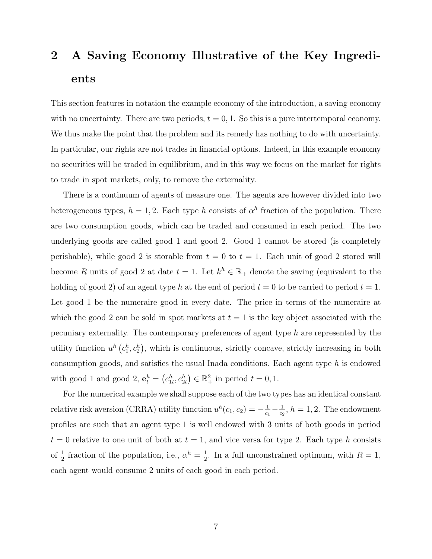## <span id="page-6-0"></span>2 A Saving Economy Illustrative of the Key Ingredients

This section features in notation the example economy of the introduction, a saving economy with no uncertainty. There are two periods,  $t = 0, 1$ . So this is a pure intertemporal economy. We thus make the point that the problem and its remedy has nothing to do with uncertainty. In particular, our rights are not trades in financial options. Indeed, in this example economy no securities will be traded in equilibrium, and in this way we focus on the market for rights to trade in spot markets, only, to remove the externality.

There is a continuum of agents of measure one. The agents are however divided into two heterogeneous types,  $h = 1, 2$ . Each type h consists of  $\alpha^h$  fraction of the population. There are two consumption goods, which can be traded and consumed in each period. The two underlying goods are called good 1 and good 2. Good 1 cannot be stored (is completely perishable), while good 2 is storable from  $t = 0$  to  $t = 1$ . Each unit of good 2 stored will become R units of good 2 at date  $t = 1$ . Let  $k^h \in \mathbb{R}_+$  denote the saving (equivalent to the holding of good 2) of an agent type h at the end of period  $t = 0$  to be carried to period  $t = 1$ . Let good 1 be the numeraire good in every date. The price in terms of the numeraire at which the good 2 can be sold in spot markets at  $t = 1$  is the key object associated with the pecuniary externality. The contemporary preferences of agent type h are represented by the utility function  $u^h(c_1^h, c_2^h)$ , which is continuous, strictly concave, strictly increasing in both consumption goods, and satisfies the usual Inada conditions. Each agent type h is endowed with good 1 and good 2,  $\mathbf{e}_t^h = (e_{1t}^h, e_{2t}^h) \in \mathbb{R}_+^2$  in period  $t = 0, 1$ .

For the numerical example we shall suppose each of the two types has an identical constant relative risk aversion (CRRA) utility function  $u^h(c_1, c_2) = -\frac{1}{c_1}$  $\frac{1}{c_1} - \frac{1}{c_2}$  $\frac{1}{c_2}$ ,  $h = 1, 2$ . The endowment profiles are such that an agent type 1 is well endowed with 3 units of both goods in period  $t = 0$  relative to one unit of both at  $t = 1$ , and vice versa for type 2. Each type h consists of  $\frac{1}{2}$  fraction of the population, i.e.,  $\alpha^h = \frac{1}{2}$  $\frac{1}{2}$ . In a full unconstrained optimum, with  $R=1$ , each agent would consume 2 units of each good in each period.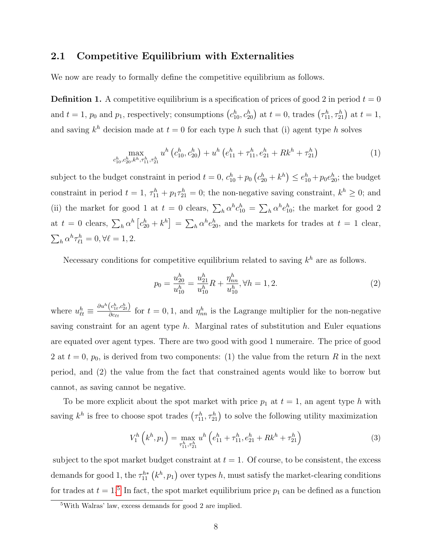#### 2.1 Competitive Equilibrium with Externalities

We now are ready to formally define the competitive equilibrium as follows.

**Definition 1.** A competitive equilibrium is a specification of prices of good 2 in period  $t = 0$ and  $t = 1$ ,  $p_0$  and  $p_1$ , respectively; consumptions  $(c_{10}^h, c_{20}^h)$  at  $t = 0$ , trades  $(\tau_{11}^h, \tau_{21}^h)$  at  $t = 1$ , and saving  $k^h$  decision made at  $t = 0$  for each type h such that (i) agent type h solves

$$
\max_{c_{10}^h, c_{20}^h, k^h, \tau_{11}^h, \tau_{21}^h} u^h \left( c_{10}^h, c_{20}^h \right) + u^h \left( e_{11}^h + \tau_{11}^h, e_{21}^h + R k^h + \tau_{21}^h \right) \tag{1}
$$

subject to the budget constraint in period  $t = 0$ ,  $c_{10}^h + p_0 (c_{20}^h + k^h) \le e_{10}^h + p_0 e_{20}^h$ ; the budget constraint in period  $t = 1$ ,  $\tau_{11}^h + p_1 \tau_{21}^h = 0$ ; the non-negative saving constraint,  $k^h \geq 0$ ; and (ii) the market for good 1 at  $t = 0$  clears,  $\sum_h \alpha^h c_{10}^h = \sum_h \alpha^h e_{10}^h$ ; the market for good 2 at  $t = 0$  clears,  $\sum_h \alpha^h \left[ c_{20}^h + k^h \right] = \sum_h \alpha^h e_{20}^h$ , and the markets for trades at  $t = 1$  clear,  $\sum_h \alpha^h \tau_{\ell 1}^h = 0, \forall \ell = 1, 2.$ 

Necessary conditions for competitive equilibrium related to saving  $k^h$  are as follows.

<span id="page-7-2"></span>
$$
p_0 = \frac{u_{20}^h}{u_{10}^h} = \frac{u_{21}^h}{u_{10}^h}R + \frac{\eta_{nn}^h}{u_{10}^h}, \forall h = 1, 2.
$$
 (2)

where  $u_{\ell t}^h \equiv \frac{\partial u^h(c_{1t}^h, c_{2t}^h)}{\partial c_{\ell t}}$  $\frac{(c_{1t}, c_{2t})}{\partial c_{\ell t}}$  for  $t = 0, 1$ , and  $\eta_{nn}^h$  is the Lagrange multiplier for the non-negative saving constraint for an agent type  $h$ . Marginal rates of substitution and Euler equations are equated over agent types. There are two good with good 1 numeraire. The price of good 2 at  $t = 0$ ,  $p_0$ , is derived from two components: (1) the value from the return R in the next period, and (2) the value from the fact that constrained agents would like to borrow but cannot, as saving cannot be negative.

To be more explicit about the spot market with price  $p_1$  at  $t = 1$ , an agent type h with saving  $k^h$  is free to choose spot trades  $(\tau^h_{11}, \tau^h_{21})$  to solve the following utility maximization

<span id="page-7-1"></span>
$$
V_1^h\left(k^h, p_1\right) = \max_{\tau_{11}^h, \tau_{21}^h} u^h\left(e_{11}^h + \tau_{11}^h, e_{21}^h + Rk^h + \tau_{21}^h\right) \tag{3}
$$

subject to the spot market budget constraint at  $t = 1$ . Of course, to be consistent, the excess demands for good 1, the  $\tau_{11}^{h*}$   $\left(k^h, p_1\right)$  over types h, must satisfy the market-clearing conditions for trades at  $t = 1$ <sup>[5](#page-7-0)</sup>. In fact, the spot market equilibrium price  $p_1$  can be defined as a function

<span id="page-7-0"></span><sup>5</sup>With Walras' law, excess demands for good 2 are implied.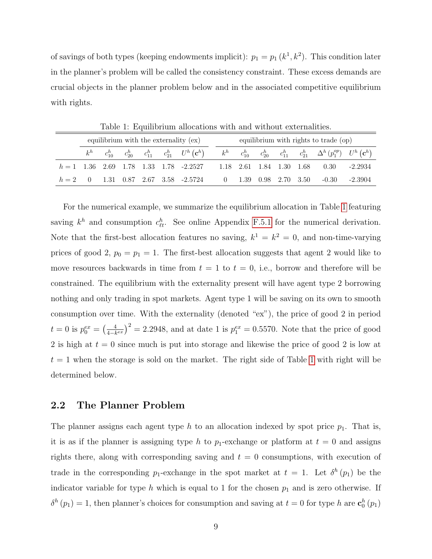of savings of both types (keeping endowments implicit):  $p_1 = p_1(k^1, k^2)$ . This condition later in the planner's problem will be called the consistency constraint. These excess demands are crucial objects in the planner problem below and in the associated competitive equilibrium with rights.

| equilibrium with the externality $(ex)$ |  |  |  |  |  | equilibrium with rights to trade (op) |  |  |  |                                                                                                                                                         |  |  |
|-----------------------------------------|--|--|--|--|--|---------------------------------------|--|--|--|---------------------------------------------------------------------------------------------------------------------------------------------------------|--|--|
|                                         |  |  |  |  |  |                                       |  |  |  | $k^h$ $c_{10}^h$ $c_{20}^h$ $c_{11}^h$ $c_{21}^h$ $U^h$ $(c^h)$ $k^h$ $c_{10}^h$ $c_{20}^h$ $c_{11}^h$ $c_{21}^h$ $\Delta^h$ $(p_1^{op})$ $U^h$ $(c^h)$ |  |  |
|                                         |  |  |  |  |  |                                       |  |  |  | $h = 1$ 1.36 2.69 1.78 1.33 1.78 -2.2527 1.18 2.61 1.84 1.30 1.68 0.30 -2.2934                                                                          |  |  |
|                                         |  |  |  |  |  |                                       |  |  |  | $h = 2$ 0 1.31 0.87 2.67 3.58 -2.5724 0 1.39 0.98 2.70 3.50 -0.30 -2.3904                                                                               |  |  |

<span id="page-8-0"></span>Table 1: Equilibrium allocations with and without externalities.

For the numerical example, we summarize the equilibrium allocation in Table [1](#page-8-0) featuring saving  $k^h$  and consumption  $c_{\ell t}^h$ . See online Appendix [F.5.1](#page-0-0) for the numerical derivation. Note that the first-best allocation features no saving,  $k^1 = k^2 = 0$ , and non-time-varying prices of good 2,  $p_0 = p_1 = 1$ . The first-best allocation suggests that agent 2 would like to move resources backwards in time from  $t = 1$  to  $t = 0$ , i.e., borrow and therefore will be constrained. The equilibrium with the externality present will have agent type 2 borrowing nothing and only trading in spot markets. Agent type 1 will be saving on its own to smooth consumption over time. With the externality (denoted "ex"), the price of good 2 in period  $t = 0$  is  $p_0^{ex} = \left(\frac{4}{4-k}\right)$  $\frac{4}{4-k^{ex}}$ )<sup>2</sup> = 2.2948, and at date 1 is  $p_1^{ex} = 0.5570$ . Note that the price of good 2 is high at  $t = 0$  since much is put into storage and likewise the price of good 2 is low at  $t = 1$  $t = 1$  when the storage is sold on the market. The right side of Table 1 with right will be determined below.

#### 2.2 The Planner Problem

The planner assigns each agent type h to an allocation indexed by spot price  $p_1$ . That is, it is as if the planner is assigning type h to  $p_1$ -exchange or platform at  $t = 0$  and assigns rights there, along with corresponding saving and  $t = 0$  consumptions, with execution of trade in the corresponding  $p_1$ -exchange in the spot market at  $t = 1$ . Let  $\delta^h(p_1)$  be the indicator variable for type h which is equal to 1 for the chosen  $p_1$  and is zero otherwise. If  $\delta^h(p_1) = 1$ , then planner's choices for consumption and saving at  $t = 0$  for type h are  $\mathbf{c}_0^h(p_1)$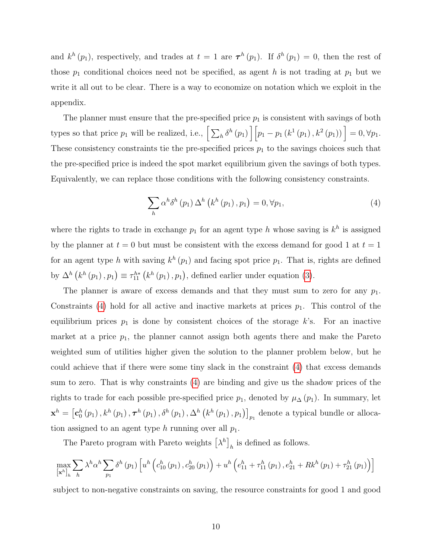and  $k^h(p_1)$ , respectively, and trades at  $t = 1$  are  $\tau^h(p_1)$ . If  $\delta^h(p_1) = 0$ , then the rest of those  $p_1$  conditional choices need not be specified, as agent h is not trading at  $p_1$  but we write it all out to be clear. There is a way to economize on notation which we exploit in the appendix.

The planner must ensure that the pre-specified price  $p_1$  is consistent with savings of both types so that price  $p_1$  will be realized, i.e.,  $\left[\sum_h \delta^h(p_1)\right] \left[p_1 - p_1(k^1(p_1), k^2(p_1))\right] = 0, \forall p_1$ . These consistency constraints tie the pre-specified prices  $p_1$  to the savings choices such that the pre-specified price is indeed the spot market equilibrium given the savings of both types. Equivalently, we can replace those conditions with the following consistency constraints.

<span id="page-9-0"></span>
$$
\sum_{h} \alpha^{h} \delta^{h} (p_{1}) \Delta^{h} (k^{h} (p_{1}), p_{1}) = 0, \forall p_{1}, \qquad (4)
$$

where the rights to trade in exchange  $p_1$  for an agent type h whose saving is  $k^h$  is assigned by the planner at  $t = 0$  but must be consistent with the excess demand for good 1 at  $t = 1$ for an agent type h with saving  $k^h(p_1)$  and facing spot price  $p_1$ . That is, rights are defined by  $\Delta^h(k^h(p_1), p_1) \equiv \tau_{11}^{h*}(k^h(p_1), p_1)$ , defined earlier under equation [\(3\)](#page-7-1).

The planner is aware of excess demands and that they must sum to zero for any  $p_1$ . Constraints [\(4\)](#page-9-0) hold for all active and inactive markets at prices  $p_1$ . This control of the equilibrium prices  $p_1$  is done by consistent choices of the storage k's. For an inactive market at a price  $p_1$ , the planner cannot assign both agents there and make the Pareto weighted sum of utilities higher given the solution to the planner problem below, but he could achieve that if there were some tiny slack in the constraint [\(4\)](#page-9-0) that excess demands sum to zero. That is why constraints [\(4\)](#page-9-0) are binding and give us the shadow prices of the rights to trade for each possible pre-specified price  $p_1$ , denoted by  $\mu_\Delta(p_1)$ . In summary, let  $\mathbf{x}^h = \left[\mathbf{c}_0^h\left(p_1\right), k^h\left(p_1\right), \boldsymbol{\tau}^h\left(p_1\right), \delta^h\left(p_1\right), \Delta^h\left(k^h\left(p_1\right), p_1\right)\right]_{p_1}$  denote a typical bundle or allocation assigned to an agent type h running over all  $p_1$ .

The Pareto program with Pareto weights  $\left[\lambda^h\right]_h$  is defined as follows.

$$
\max_{\left[\mathbf{x}^{h}\right]_{h}} \sum_{h} \lambda^{h} \alpha^{h} \sum_{p_{1}} \delta^{h} (p_{1}) \left[ u^{h} \left( c_{10}^{h} (p_{1}), c_{20}^{h} (p_{1}) \right) + u^{h} \left( e_{11}^{h} + \tau_{11}^{h} (p_{1}), e_{21}^{h} + R k^{h} (p_{1}) + \tau_{21}^{h} (p_{1}) \right) \right]
$$

subject to non-negative constraints on saving, the resource constraints for good 1 and good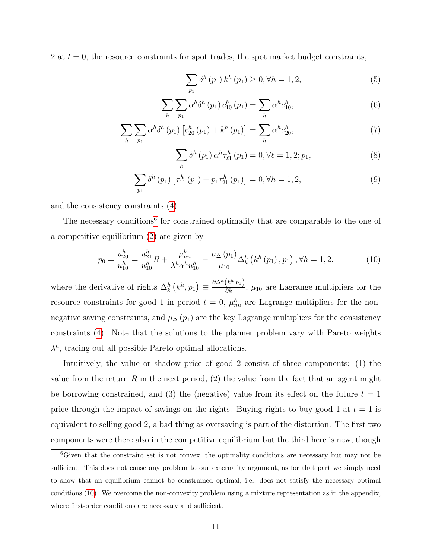2 at  $t = 0$ , the resource constraints for spot trades, the spot market budget constraints,

<span id="page-10-5"></span><span id="page-10-4"></span><span id="page-10-3"></span>
$$
\sum_{p_1} \delta^h(p_1) k^h(p_1) \ge 0, \forall h = 1, 2,
$$
\n(5)

$$
\sum_{h} \sum_{p_1} \alpha^h \delta^h(p_1) c_{10}^h(p_1) = \sum_{h} \alpha^h e_{10}^h,
$$
\n(6)

$$
\sum_{h} \sum_{p_1} \alpha^h \delta^h(p_1) \left[ c_{20}^h(p_1) + k^h(p_1) \right] = \sum_{h} \alpha^h e_{20}^h,
$$
\n(7)

<span id="page-10-6"></span><span id="page-10-2"></span><span id="page-10-1"></span>
$$
\sum_{h} \delta^{h} (p_{1}) \alpha^{h} \tau_{\ell 1}^{h} (p_{1}) = 0, \forall \ell = 1, 2; p_{1}, \qquad (8)
$$

$$
\sum_{p_1} \delta^h (p_1) \left[ \tau_{11}^h (p_1) + p_1 \tau_{21}^h (p_1) \right] = 0, \forall h = 1, 2,
$$
\n(9)

and the consistency constraints [\(4\)](#page-9-0).

The necessary conditions<sup>[6](#page-10-0)</sup> for constrained optimality that are comparable to the one of a competitive equilibrium [\(2\)](#page-7-2) are given by

$$
p_0 = \frac{u_{20}^h}{u_{10}^h} = \frac{u_{21}^h}{u_{10}^h} R + \frac{\mu_{nn}^h}{\lambda^h \alpha^h u_{10}^h} - \frac{\mu_\Delta(p_1)}{\mu_{10}} \Delta_k^h \left( k^h(p_1), p_1 \right), \forall h = 1, 2. \tag{10}
$$

where the derivative of rights  $\Delta_k^h(k^h, p_1) \equiv \frac{\partial \Delta^h(k^h, p_1)}{\partial k}$ ,  $\mu_{10}$  are Lagrange multipliers for the resource constraints for good 1 in period  $t = 0$ ,  $\mu_{nn}^h$  are Lagrange multipliers for the nonnegative saving constraints, and  $\mu_{\Delta}(p_1)$  are the key Lagrange multipliers for the consistency constraints [\(4\)](#page-9-0). Note that the solutions to the planner problem vary with Pareto weights  $\lambda^h$ , tracing out all possible Pareto optimal allocations.

Intuitively, the value or shadow price of good 2 consist of three components: (1) the value from the return R in the next period,  $(2)$  the value from the fact that an agent might be borrowing constrained, and (3) the (negative) value from its effect on the future  $t = 1$ price through the impact of savings on the rights. Buying rights to buy good 1 at  $t = 1$  is equivalent to selling good 2, a bad thing as oversaving is part of the distortion. The first two components were there also in the competitive equilibrium but the third here is new, though

<span id="page-10-0"></span><sup>&</sup>lt;sup>6</sup>Given that the constraint set is not convex, the optimality conditions are necessary but may not be sufficient. This does not cause any problem to our externality argument, as for that part we simply need to show that an equilibrium cannot be constrained optimal, i.e., does not satisfy the necessary optimal conditions [\(10\)](#page-10-1). We overcome the non-convexity problem using a mixture representation as in the appendix, where first-order conditions are necessary and sufficient.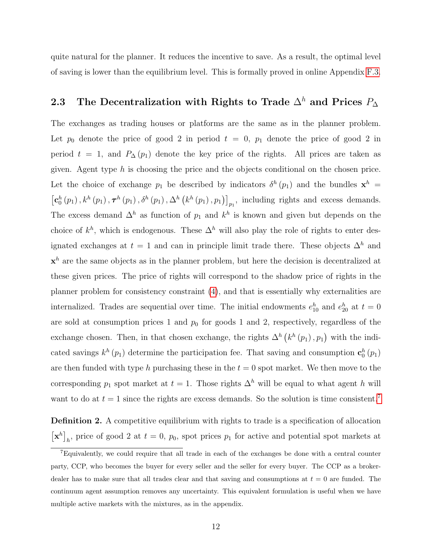quite natural for the planner. It reduces the incentive to save. As a result, the optimal level of saving is lower than the equilibrium level. This is formally proved in online Appendix [F.3.](#page-0-0)

## <span id="page-11-1"></span>2.3 The Decentralization with Rights to Trade  $\Delta^h$  and Prices  $P_{\Delta}$

The exchanges as trading houses or platforms are the same as in the planner problem. Let  $p_0$  denote the price of good 2 in period  $t = 0$ ,  $p_1$  denote the price of good 2 in period  $t = 1$ , and  $P_{\Delta}(p_1)$  denote the key price of the rights. All prices are taken as given. Agent type  $h$  is choosing the price and the objects conditional on the chosen price. Let the choice of exchange  $p_1$  be described by indicators  $\delta^h(p_1)$  and the bundles  $\mathbf{x}^h$  =  $\left[\mathbf{c}_0^h(p_1), k^h(p_1), \boldsymbol{\tau}^h(p_1), \delta^h(p_1), \Delta^h(k^h(p_1), p_1)\right]_{p_1}$ , including rights and excess demands. The excess demand  $\Delta^h$  as function of  $p_1$  and  $k^h$  is known and given but depends on the choice of  $k^h$ , which is endogenous. These  $\Delta^h$  will also play the role of rights to enter designated exchanges at  $t = 1$  and can in principle limit trade there. These objects  $\Delta^h$  and  $x<sup>h</sup>$  are the same objects as in the planner problem, but here the decision is decentralized at these given prices. The price of rights will correspond to the shadow price of rights in the planner problem for consistency constraint [\(4\)](#page-9-0), and that is essentially why externalities are internalized. Trades are sequential over time. The initial endowments  $e_{10}^h$  and  $e_{20}^h$  at  $t=0$ are sold at consumption prices 1 and  $p_0$  for goods 1 and 2, respectively, regardless of the exchange chosen. Then, in that chosen exchange, the rights  $\Delta^h(k^h(p_1), p_1)$  with the indicated savings  $k^h(p_1)$  determine the participation fee. That saving and consumption  $\mathbf{c}_0^h(p_1)$ are then funded with type h purchasing these in the  $t = 0$  spot market. We then move to the corresponding  $p_1$  spot market at  $t = 1$ . Those rights  $\Delta^h$  will be equal to what agent h will want to do at  $t = 1$  since the rights are excess demands. So the solution is time consistent.<sup>[7](#page-11-0)</sup>

**Definition 2.** A competitive equilibrium with rights to trade is a specification of allocation  $\left[\mathbf{x}^{h}\right]_{h}$ , price of good 2 at  $t = 0$ ,  $p_{0}$ , spot prices  $p_{1}$  for active and potential spot markets at

<span id="page-11-0"></span><sup>7</sup>Equivalently, we could require that all trade in each of the exchanges be done with a central counter party, CCP, who becomes the buyer for every seller and the seller for every buyer. The CCP as a brokerdealer has to make sure that all trades clear and that saving and consumptions at  $t = 0$  are funded. The continuum agent assumption removes any uncertainty. This equivalent formulation is useful when we have multiple active markets with the mixtures, as in the appendix.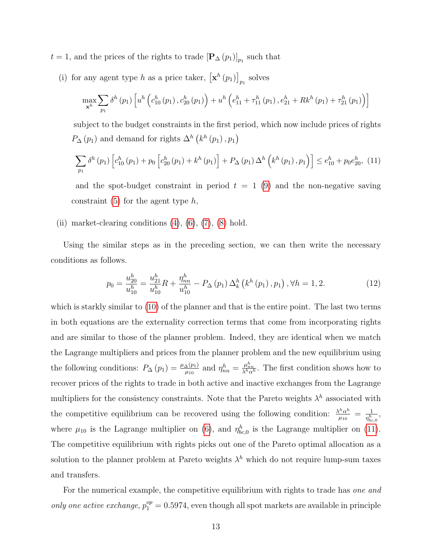$t = 1$ , and the prices of the rights to trade  $[\mathbf{P}_{\Delta}(p_1)]_{p_1}$  such that

(i) for any agent type h as a price taker,  $\left[\mathbf{x}^h(p_1)\right]_{p_1}$  solves

<span id="page-12-0"></span>
$$
\max_{\mathbf{x}^{h}} \sum_{p_{1}} \delta^{h}(p_{1}) \left[ u^{h}\left(c_{10}^{h}(p_{1}), c_{20}^{h}(p_{1})\right) + u^{h}\left(e_{11}^{h} + \tau_{11}^{h}(p_{1}), e_{21}^{h} + Rk^{h}(p_{1}) + \tau_{21}^{h}(p_{1})\right) \right]
$$

subject to the budget constraints in the first period, which now include prices of rights  $P_{\Delta}(p_1)$  and demand for rights  $\Delta^h(k^h(p_1), p_1)$ 

$$
\sum_{p_1} \delta^h(p_1) \left[ c_{10}^h(p_1) + p_0 \left[ c_{20}^h(p_1) + k^h(p_1) \right] + P_{\Delta}(p_1) \Delta^h \left( k^h(p_1), p_1 \right) \right] \le e_{10}^h + p_0 e_{20}^h, (11)
$$

and the spot-budget constraint in period  $t = 1$  [\(9\)](#page-10-2) and the non-negative saving constraint  $(5)$  for the agent type h,

(ii) market-clearing conditions  $(4)$ ,  $(6)$ ,  $(7)$ ,  $(8)$  hold.

Using the similar steps as in the preceding section, we can then write the necessary conditions as follows.

$$
p_0 = \frac{u_{20}^h}{u_{10}^h} = \frac{u_{21}^h}{u_{10}^h} R + \frac{\eta_{nn}^h}{u_{10}^h} - P_\Delta(p_1) \Delta_k^h \left( k^h(p_1), p_1 \right), \forall h = 1, 2. \tag{12}
$$

which is starkly similar to [\(10\)](#page-10-1) of the planner and that is the entire point. The last two terms in both equations are the externality correction terms that come from incorporating rights and are similar to those of the planner problem. Indeed, they are identical when we match the Lagrange multipliers and prices from the planner problem and the new equilibrium using the following conditions:  $P_{\Delta}(p_1) = \frac{\mu_{\Delta}(p_1)}{\mu_{10}}$  and  $\eta_{nn}^h = \frac{\mu_{nn}^h}{\lambda^h \alpha^h}$ . The first condition shows how to recover prices of the rights to trade in both active and inactive exchanges from the Lagrange multipliers for the consistency constraints. Note that the Pareto weights  $\lambda^h$  associated with the competitive equilibrium can be recovered using the following condition:  $\frac{\lambda^h \alpha^h}{\mu^h}$  $\frac{h\alpha^h}{\mu_{10}} = \frac{1}{\eta_{bc}^h}$  $\frac{1}{\eta^h_{bc,0}},$ where  $\mu_{10}$  is the Lagrange multiplier on [\(6\)](#page-10-4), and  $\eta_{bc,0}^h$  is the Lagrange multiplier on [\(11\)](#page-12-0). The competitive equilibrium with rights picks out one of the Pareto optimal allocation as a solution to the planner problem at Pareto weights  $\lambda^h$  which do not require lump-sum taxes and transfers.

For the numerical example, the competitive equilibrium with rights to trade has one and only one active exchange,  $p_1^{op} = 0.5974$ , even though all spot markets are available in principle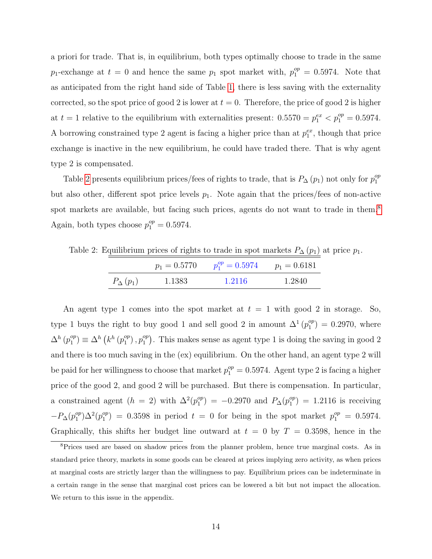a priori for trade. That is, in equilibrium, both types optimally choose to trade in the same  $p_1$ -exchange at  $t = 0$  and hence the same  $p_1$  spot market with,  $p_1^{op} = 0.5974$ . Note that as anticipated from the right hand side of Table [1,](#page-8-0) there is less saving with the externality corrected, so the spot price of good 2 is lower at  $t = 0$ . Therefore, the price of good 2 is higher at  $t = 1$  relative to the equilibrium with externalities present:  $0.5570 = p_1^{ex} < p_1^{op} = 0.5974$ . A borrowing constrained type 2 agent is facing a higher price than at  $p_1^{ex}$ , though that price exchange is inactive in the new equilibrium, he could have traded there. That is why agent type 2 is compensated.

Table [2](#page-13-0) presents equilibrium prices/fees of rights to trade, that is  $P_{\Delta}(p_1)$  not only for  $p_1^{op}$ 1 but also other, different spot price levels  $p_1$ . Note again that the prices/fees of non-active spot markets are available, but facing such prices, agents do not want to trade in them.<sup>[8](#page-13-1)</sup> Again, both types choose  $p_1^{op} = 0.5974$ .

Table 2: Equilibrium prices of rights to trade in spot markets  $P_{\Delta}(p_1)$  at price  $p_1$ .

<span id="page-13-0"></span>

|                   | $p_1 = 0.5770$ | $p_1^{op} = 0.5974$ | $p_1 = 0.6181$ |
|-------------------|----------------|---------------------|----------------|
| $P_{\Delta}(p_1)$ | 1.1383         | 1.2116              | 1.2840         |

An agent type 1 comes into the spot market at  $t = 1$  with good 2 in storage. So, type 1 buys the right to buy good 1 and sell good 2 in amount  $\Delta^1(p_1^{op})$  $_1^{op}$  = 0.2970, where  $\Delta^h$   $(p_1^{op}$  $\binom{op}{1} \equiv \Delta^h \left( k^h \left( p_1^{op} \right) \right)$  $j^{op}_{1}$ ,  $p_1^{op}$  $\binom{op}{1}$ . This makes sense as agent type 1 is doing the saving in good 2 and there is too much saving in the (ex) equilibrium. On the other hand, an agent type 2 will be paid for her willingness to choose that market  $p_1^{op} = 0.5974$ . Agent type 2 is facing a higher price of the good 2, and good 2 will be purchased. But there is compensation. In particular, a constrained agent  $(h = 2)$  with  $\Delta^2(p_1^{op})$  $\binom{op}{1}$  = -0.2970 and  $P_{\Delta}(p_1^{op})$  $_1^{op}$ ) = 1.2116 is receiving  $-P_{\Delta}(p_1^{op}$  $_1^{op}\left(\right) \Delta^2(p_1^{op})$  $\binom{op}{1}$  = 0.3598 in period  $t = 0$  for being in the spot market  $p_1^{op} = 0.5974$ . Graphically, this shifts her budget line outward at  $t = 0$  by  $T = 0.3598$ , hence in the

<span id="page-13-1"></span><sup>&</sup>lt;sup>8</sup>Prices used are based on shadow prices from the planner problem, hence true marginal costs. As in standard price theory, markets in some goods can be cleared at prices implying zero activity, as when prices at marginal costs are strictly larger than the willingness to pay. Equilibrium prices can be indeterminate in a certain range in the sense that marginal cost prices can be lowered a bit but not impact the allocation. We return to this issue in the appendix.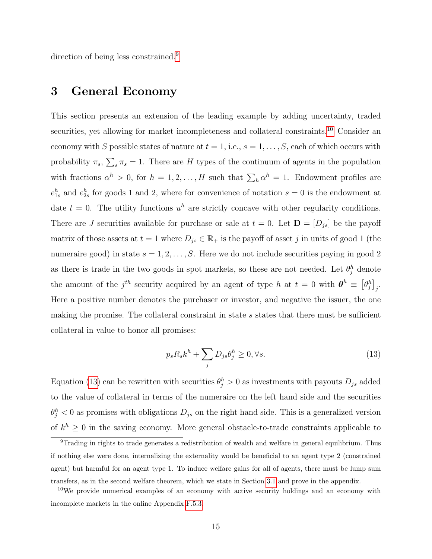direction of being less constrained.<sup>[9](#page-14-1)</sup>

## <span id="page-14-0"></span>3 General Economy

This section presents an extension of the leading example by adding uncertainty, traded securities, yet allowing for market incompleteness and collateral constraints.<sup>[10](#page-14-2)</sup> Consider an economy with S possible states of nature at  $t = 1$ , i.e.,  $s = 1, \ldots, S$ , each of which occurs with probability  $\pi_s$ ,  $\sum_s \pi_s = 1$ . There are H types of the continuum of agents in the population with fractions  $\alpha^h > 0$ , for  $h = 1, 2, ..., H$  such that  $\sum_h \alpha^h = 1$ . Endowment profiles are  $e_{1s}^h$  and  $e_{2s}^h$  for goods 1 and 2, where for convenience of notation  $s=0$  is the endowment at date  $t = 0$ . The utility functions  $u^h$  are strictly concave with other regularity conditions. There are J securities available for purchase or sale at  $t = 0$ . Let  $\mathbf{D} = [D_{js}]$  be the payoff matrix of those assets at  $t = 1$  where  $D_{js} \in \mathbb{R}_+$  is the payoff of asset j in units of good 1 (the numeraire good) in state  $s = 1, 2, ..., S$ . Here we do not include securities paying in good 2 as there is trade in the two goods in spot markets, so these are not needed. Let  $\theta_j^h$  denote the amount of the  $j^{th}$  security acquired by an agent of type h at  $t = 0$  with  $\boldsymbol{\theta}^h \equiv \begin{bmatrix} \theta_j^h \end{bmatrix}_j$ . Here a positive number denotes the purchaser or investor, and negative the issuer, the one making the promise. The collateral constraint in state  $s$  states that there must be sufficient collateral in value to honor all promises:

<span id="page-14-3"></span>
$$
p_s R_s k^h + \sum_j D_{js} \theta_j^h \ge 0, \forall s. \tag{13}
$$

Equation [\(13\)](#page-14-3) can be rewritten with securities  $\theta_j^h > 0$  as investments with payouts  $D_{js}$  added to the value of collateral in terms of the numeraire on the left hand side and the securities  $\theta_j^h$  < 0 as promises with obligations  $D_{js}$  on the right hand side. This is a generalized version of  $k^h \geq 0$  in the saving economy. More general obstacle-to-trade constraints applicable to

<span id="page-14-1"></span><sup>9</sup>Trading in rights to trade generates a redistribution of wealth and welfare in general equilibrium. Thus if nothing else were done, internalizing the externality would be beneficial to an agent type 2 (constrained agent) but harmful for an agent type 1. To induce welfare gains for all of agents, there must be lump sum transfers, as in the second welfare theorem, which we state in Section [3.1](#page-16-0) and prove in the appendix.

<span id="page-14-2"></span><sup>&</sup>lt;sup>10</sup>We provide numerical examples of an economy with active security holdings and an economy with incomplete markets in the online Appendix [F.5.3.](#page-0-0)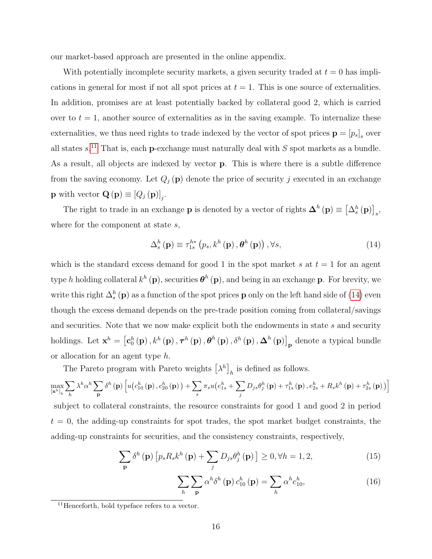our market-based approach are presented in the online appendix.

With potentially incomplete security markets, a given security traded at  $t = 0$  has implications in general for most if not all spot prices at  $t = 1$ . This is one source of externalities. In addition, promises are at least potentially backed by collateral good 2, which is carried over to  $t = 1$ , another source of externalities as in the saving example. To internalize these externalities, we thus need rights to trade indexed by the vector of spot prices  $\mathbf{p} = [p_s]_s$  over all states  $s$ <sup>[11](#page-15-0)</sup>. That is, each **p**-exchange must naturally deal with  $S$  spot markets as a bundle. As a result, all objects are indexed by vector p. This is where there is a subtle difference from the saving economy. Let  $Q_j(\mathbf{p})$  denote the price of security j executed in an exchange **p** with vector  $\mathbf{Q}(\mathbf{p}) \equiv [Q_j(\mathbf{p})]_j$ .

The right to trade in an exchange **p** is denoted by a vector of rights  $\mathbf{\Delta}^h(\mathbf{p}) \equiv \left[\Delta_s^h(\mathbf{p})\right]_s$ , where for the component at state s,

<span id="page-15-1"></span>
$$
\Delta_{s}^{h}(\mathbf{p}) \equiv \tau_{1s}^{h*} (p_{s}, k^{h}(\mathbf{p}), \boldsymbol{\theta}^{h}(\mathbf{p})), \forall s,
$$
\n(14)

which is the standard excess demand for good 1 in the spot market s at  $t = 1$  for an agent type h holding collateral  $k^h(\mathbf{p})$ , securities  $\boldsymbol{\theta}^h(\mathbf{p})$ , and being in an exchange p. For brevity, we write this right  $\Delta_s^h$  (**p**) as a function of the spot prices **p** only on the left hand side of [\(14\)](#page-15-1) even though the excess demand depends on the pre-trade position coming from collateral/savings and securities. Note that we now make explicit both the endowments in state s and security holdings. Let  $\mathbf{x}^h = \left[\mathbf{c}_0^h\left(\mathbf{p}\right), k^h\left(\mathbf{p}\right), \boldsymbol{\tau}^h\left(\mathbf{p}\right), \boldsymbol{\theta}^h\left(\mathbf{p}\right), \delta^h\left(\mathbf{p}\right), \boldsymbol{\Delta}^h\left(\mathbf{p}\right)\right]_{\mathbf{p}}$  denote a typical bundle or allocation for an agent type h.

The Pareto program with Pareto weights  $\left[\lambda^h\right]_h$  is defined as follows.

$$
\max_{\left[\mathbf{x}^{h}\right]_{h}}\sum_{h}\lambda^{h}\alpha^{h}\sum_{\mathbf{p}}\delta^{h}\left(\mathbf{p}\right)\left[u\big(c_{10}^{h}\left(\mathbf{p}\right),c_{20}^{h}\left(\mathbf{p}\right)\big)+\sum_{s}\pi_{s}u\big(e_{1s}^{h}+\sum_{j}D_{j{s}}\theta_{j}^{h}\left(\mathbf{p}\right)+\tau_{1s}^{h}\left(\mathbf{p}\right),e_{2s}^{h}+R_{s}k^{h}\left(\mathbf{p}\right)+\tau_{2s}^{h}\left(\mathbf{p}\right)\big)\right]
$$

subject to collateral constraints, the resource constraints for good 1 and good 2 in period  $t = 0$ , the adding-up constraints for spot trades, the spot market budget constraints, the adding-up constraints for securities, and the consistency constraints, respectively,

$$
\sum_{\mathbf{p}} \delta^{h}(\mathbf{p}) \left[ p_{s} R_{s} k^{h}(\mathbf{p}) + \sum_{j} D_{j s} \theta_{j}^{h}(\mathbf{p}) \right] \ge 0, \forall h = 1, 2,
$$
\n(15)

<span id="page-15-3"></span><span id="page-15-2"></span>
$$
\sum_{h} \sum_{\mathbf{p}} \alpha^{h} \delta^{h}(\mathbf{p}) c_{10}^{h}(\mathbf{p}) = \sum_{h} \alpha^{h} e_{10}^{h}, \qquad (16)
$$

<span id="page-15-0"></span> $11$ Henceforth, bold typeface refers to a vector.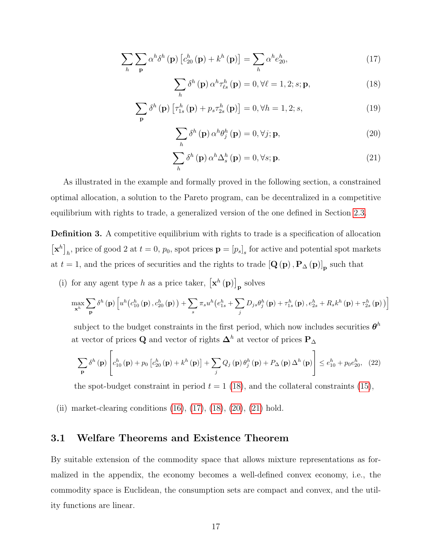$$
\sum_{h} \sum_{\mathbf{p}} \alpha^{h} \delta^{h}(\mathbf{p}) \left[ c_{20}^{h}(\mathbf{p}) + k^{h}(\mathbf{p}) \right] = \sum_{h} \alpha^{h} e_{20}^{h}, \qquad (17)
$$

<span id="page-16-2"></span><span id="page-16-1"></span>
$$
\sum_{h} \delta^{h}(\mathbf{p}) \alpha^{h} \tau_{\ell s}^{h}(\mathbf{p}) = 0, \forall \ell = 1, 2; s; \mathbf{p},
$$
\n(18)

$$
\sum_{\mathbf{p}} \delta^h(\mathbf{p}) \left[ \tau_{1s}^h(\mathbf{p}) + p_s \tau_{2s}^h(\mathbf{p}) \right] = 0, \forall h = 1, 2; s,
$$
\n(19)

<span id="page-16-4"></span><span id="page-16-3"></span>
$$
\sum_{h} \delta^{h}(\mathbf{p}) \alpha^{h} \theta_{j}^{h}(\mathbf{p}) = 0, \forall j; \mathbf{p},
$$
\n(20)

$$
\sum_{h} \delta^{h}(\mathbf{p}) \alpha^{h} \Delta_{s}^{h}(\mathbf{p}) = 0, \forall s; \mathbf{p}.
$$
 (21)

As illustrated in the example and formally proved in the following section, a constrained optimal allocation, a solution to the Pareto program, can be decentralized in a competitive equilibrium with rights to trade, a generalized version of the one defined in Section [2.3.](#page-11-1)

Definition 3. A competitive equilibrium with rights to trade is a specification of allocation  $\left[\mathbf{x}^h\right]_h$ , price of good 2 at  $t = 0$ ,  $p_0$ , spot prices  $\mathbf{p} = [p_s]_s$  for active and potential spot markets at  $t = 1$ , and the prices of securities and the rights to trade  $\left[\mathbf{Q}\left(\mathbf{p}\right), \mathbf{P}_{\Delta}\left(\mathbf{p}\right)\right]_{\mathbf{p}}$  such that

(i) for any agent type h as a price taker,  $[\mathbf{x}^h(\mathbf{p})]_{\mathbf{p}}$  solves

$$
\max_{\mathbf{x}^{h}}\sum_{\mathbf{p}}\delta^{h}\left(\mathbf{p}\right)\left[u^{h}\left(c_{10}^{h}\left(\mathbf{p}\right),c_{20}^{h}\left(\mathbf{p}\right)\right)+\sum_{s}\pi_{s}u^{h}\left(e_{1s}^{h}+\sum_{j}D_{js}\theta_{j}^{h}\left(\mathbf{p}\right)+\tau_{1s}^{h}\left(\mathbf{p}\right),e_{2s}^{h}+R_{s}k^{h}\left(\mathbf{p}\right)+\tau_{2s}^{h}\left(\mathbf{p}\right)\right)\right]
$$

subject to the budget constraints in the first period, which now includes securities  $\boldsymbol{\theta}^h$ at vector of prices Q and vector of rights  $\mathbf{\Delta}^h$  at vector of prices  $\mathbf{P}_{\Delta}$ 

$$
\sum_{\mathbf{p}} \delta^{h}(\mathbf{p}) \left[ c_{10}^{h}(\mathbf{p}) + p_{0} \left[ c_{20}^{h}(\mathbf{p}) + k^{h}(\mathbf{p}) \right] + \sum_{j} Q_{j}(\mathbf{p}) \theta_{j}^{h}(\mathbf{p}) + P_{\Delta}(\mathbf{p}) \Delta^{h}(\mathbf{p}) \right] \leq e_{10}^{h} + p_{0} e_{20}^{h}, \quad (22)
$$

the spot-budget constraint in period  $t = 1$  [\(18\)](#page-16-1), and the collateral constraints [\(15\)](#page-15-2),

(ii) market-clearing conditions  $(16)$ ,  $(17)$ ,  $(18)$ ,  $(20)$ ,  $(21)$  hold.

#### <span id="page-16-0"></span>3.1 Welfare Theorems and Existence Theorem

By suitable extension of the commodity space that allows mixture representations as formalized in the appendix, the economy becomes a well-defined convex economy, i.e., the commodity space is Euclidean, the consumption sets are compact and convex, and the utility functions are linear.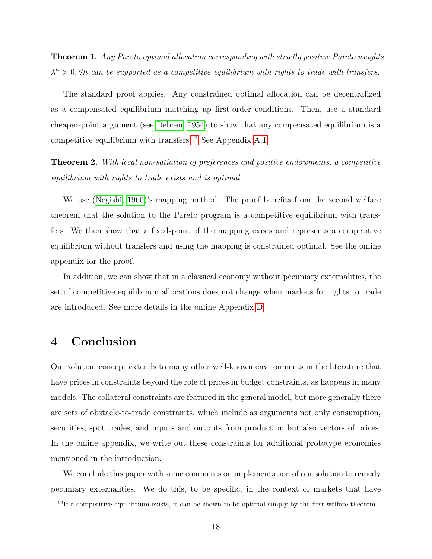<span id="page-17-2"></span>Theorem 1. Any Pareto optimal allocation corresponding with strictly positive Pareto weights  $\lambda^h > 0$ ,  $\forall h$  can be supported as a competitive equilibrium with rights to trade with transfers.

The standard proof applies. Any constrained optimal allocation can be decentralized as a compensated equilibrium matching up first-order conditions. Then, use a standard cheaper-point argument (see [Debreu, 1954\)](#page-19-3) to show that any compensated equilibrium is a competitive equilibrium with transfers.[12](#page-17-1) See Appendix [A.1.](#page-24-0)

Theorem 2. With local non-satiation of preferences and positive endowments, a competitive equilibrium with rights to trade exists and is optimal.

We use [\(Negishi, 1960\)](#page-20-11)'s mapping method. The proof benefits from the second welfare theorem that the solution to the Pareto program is a competitive equilibrium with transfers. We then show that a fixed-point of the mapping exists and represents a competitive equilibrium without transfers and using the mapping is constrained optimal. See the online appendix for the proof.

In addition, we can show that in a classical economy without pecuniary externalities, the set of competitive equilibrium allocations does not change when markets for rights to trade are introduced. See more details in the online Appendix [D.](#page-0-0)

## <span id="page-17-0"></span>4 Conclusion

Our solution concept extends to many other well-known environments in the literature that have prices in constraints beyond the role of prices in budget constraints, as happens in many models. The collateral constraints are featured in the general model, but more generally there are sets of obstacle-to-trade constraints, which include as arguments not only consumption, securities, spot trades, and inputs and outputs from production but also vectors of prices. In the online appendix, we write out these constraints for additional prototype economies mentioned in the introduction.

We conclude this paper with some comments on implementation of our solution to remedy pecuniary externalities. We do this, to be specific, in the context of markets that have

<span id="page-17-1"></span> $12$ If a competitive equilibrium exists, it can be shown to be optimal simply by the first welfare theorem.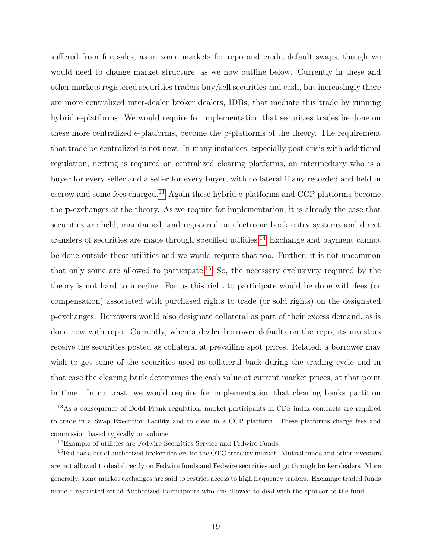suffered from fire sales, as in some markets for repo and credit default swaps, though we would need to change market structure, as we now outline below. Currently in these and other markets registered securities traders buy/sell securities and cash, but increasingly there are more centralized inter-dealer broker dealers, IDBs, that mediate this trade by running hybrid e-platforms. We would require for implementation that securities trades be done on these more centralized e-platforms, become the p-platforms of the theory. The requirement that trade be centralized is not new. In many instances, especially post-crisis with additional regulation, netting is required on centralized clearing platforms, an intermediary who is a buyer for every seller and a seller for every buyer, with collateral if any recorded and held in escrow and some fees charged.[13](#page-18-0) Again these hybrid e-platforms and CCP platforms become the p-exchanges of the theory. As we require for implementation, it is already the case that securities are held, maintained, and registered on electronic book entry systems and direct transfers of securities are made through specified utilities.[14](#page-18-1) Exchange and payment cannot be done outside these utilities and we would require that too. Further, it is not uncommon that only some are allowed to participate.<sup>[15](#page-18-2)</sup> So, the necessary exclusivity required by the theory is not hard to imagine. For us this right to participate would be done with fees (or compensation) associated with purchased rights to trade (or sold rights) on the designated p-exchanges. Borrowers would also designate collateral as part of their excess demand, as is done now with repo. Currently, when a dealer borrower defaults on the repo, its investors receive the securities posted as collateral at prevailing spot prices. Related, a borrower may wish to get some of the securities used as collateral back during the trading cycle and in that case the clearing bank determines the cash value at current market prices, at that point in time. In contrast, we would require for implementation that clearing banks partition

<span id="page-18-0"></span><sup>13</sup>As a consequence of Dodd Frank regulation, market participants in CDS index contracts are required to trade in a Swap Execution Facility and to clear in a CCP platform. These platforms charge fees and commission based typically on volume.

<span id="page-18-2"></span><span id="page-18-1"></span><sup>&</sup>lt;sup>14</sup>Example of utilities are Fedwire Securities Service and Fedwire Funds.

 $^{15}\mathrm{Fe}$  has a list of authorized broker dealers for the OTC treasury market. Mutual funds and other investors are not allowed to deal directly on Fedwire funds and Fedwire securities and go through broker dealers. More generally, some market exchanges are said to restrict access to high frequency traders. Exchange traded funds name a restricted set of Authorized Participants who are allowed to deal with the sponsor of the fund.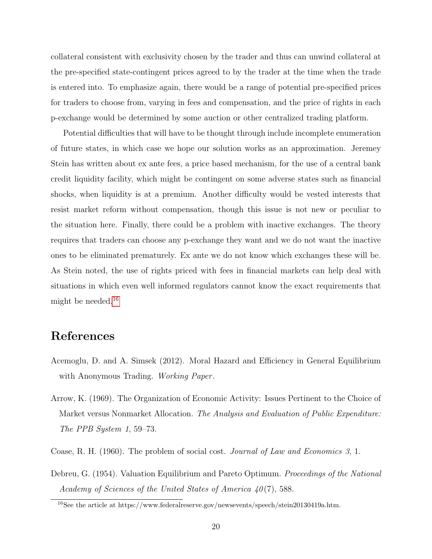collateral consistent with exclusivity chosen by the trader and thus can unwind collateral at the pre-specified state-contingent prices agreed to by the trader at the time when the trade is entered into. To emphasize again, there would be a range of potential pre-specified prices for traders to choose from, varying in fees and compensation, and the price of rights in each p-exchange would be determined by some auction or other centralized trading platform.

Potential difficulties that will have to be thought through include incomplete enumeration of future states, in which case we hope our solution works as an approximation. Jeremey Stein has written about ex ante fees, a price based mechanism, for the use of a central bank credit liquidity facility, which might be contingent on some adverse states such as financial shocks, when liquidity is at a premium. Another difficulty would be vested interests that resist market reform without compensation, though this issue is not new or peculiar to the situation here. Finally, there could be a problem with inactive exchanges. The theory requires that traders can choose any p-exchange they want and we do not want the inactive ones to be eliminated prematurely. Ex ante we do not know which exchanges these will be. As Stein noted, the use of rights priced with fees in financial markets can help deal with situations in which even well informed regulators cannot know the exact requirements that might be needed.[16](#page-19-4)

## References

- <span id="page-19-0"></span>Acemoglu, D. and A. Simsek (2012). Moral Hazard and Efficiency in General Equilibrium with Anonymous Trading. Working Paper.
- <span id="page-19-2"></span>Arrow, K. (1969). The Organization of Economic Activity: Issues Pertinent to the Choice of Market versus Nonmarket Allocation. The Analysis and Evaluation of Public Expenditure: The PPB System 1, 59–73.
- <span id="page-19-1"></span>Coase, R. H. (1960). The problem of social cost. Journal of Law and Economics 3, 1.
- <span id="page-19-3"></span>Debreu, G. (1954). Valuation Equilibrium and Pareto Optimum. Proceedings of the National Academy of Sciences of the United States of America  $40(7)$ , 588.

<span id="page-19-4"></span><sup>16</sup>See the article at https://www.federalreserve.gov/newsevents/speech/stein20130419a.htm.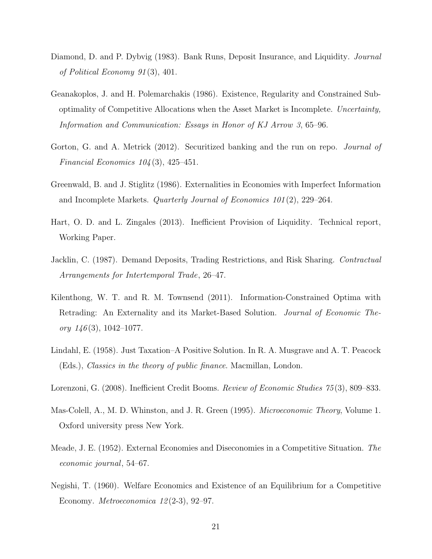- <span id="page-20-6"></span>Diamond, D. and P. Dybvig (1983). Bank Runs, Deposit Insurance, and Liquidity. Journal of Political Economy 91 (3), 401.
- <span id="page-20-2"></span>Geanakoplos, J. and H. Polemarchakis (1986). Existence, Regularity and Constrained Suboptimality of Competitive Allocations when the Asset Market is Incomplete. Uncertainty, Information and Communication: Essays in Honor of KJ Arrow 3, 65–96.
- <span id="page-20-0"></span>Gorton, G. and A. Metrick (2012). Securitized banking and the run on repo. *Journal of* Financial Economics  $104(3)$ , 425–451.
- <span id="page-20-3"></span>Greenwald, B. and J. Stiglitz (1986). Externalities in Economies with Imperfect Information and Incomplete Markets. Quarterly Journal of Economics 101 (2), 229–264.
- <span id="page-20-4"></span>Hart, O. D. and L. Zingales (2013). Inefficient Provision of Liquidity. Technical report, Working Paper.
- <span id="page-20-7"></span>Jacklin, C. (1987). Demand Deposits, Trading Restrictions, and Risk Sharing. Contractual Arrangements for Intertemporal Trade, 26–47.
- <span id="page-20-5"></span>Kilenthong, W. T. and R. M. Townsend (2011). Information-Constrained Optima with Retrading: An Externality and its Market-Based Solution. Journal of Economic Theory  $146(3)$ , 1042-1077.
- <span id="page-20-9"></span>Lindahl, E. (1958). Just Taxation–A Positive Solution. In R. A. Musgrave and A. T. Peacock (Eds.), Classics in the theory of public finance. Macmillan, London.
- <span id="page-20-1"></span>Lorenzoni, G. (2008). Inefficient Credit Booms. Review of Economic Studies 75 (3), 809–833.
- <span id="page-20-10"></span>Mas-Colell, A., M. D. Whinston, and J. R. Green (1995). *Microeconomic Theory*, Volume 1. Oxford university press New York.
- <span id="page-20-8"></span>Meade, J. E. (1952). External Economies and Diseconomies in a Competitive Situation. The economic journal, 54–67.
- <span id="page-20-11"></span>Negishi, T. (1960). Welfare Economics and Existence of an Equilibrium for a Competitive Economy. *Metroeconomica*  $12(2-3)$ , 92–97.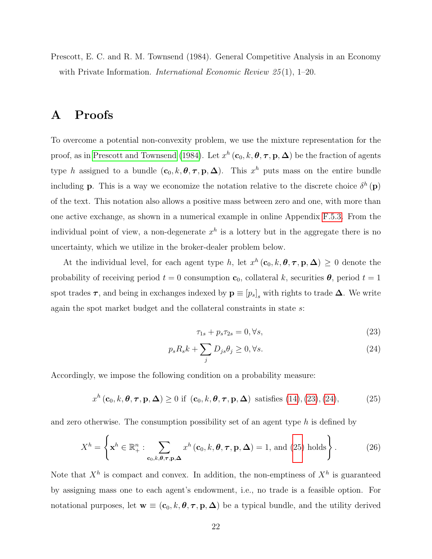<span id="page-21-1"></span>Prescott, E. C. and R. M. Townsend (1984). General Competitive Analysis in an Economy with Private Information. *International Economic Review 25*(1), 1–20.

## <span id="page-21-0"></span>A Proofs

To overcome a potential non-convexity problem, we use the mixture representation for the proof, as in [Prescott and Townsend](#page-21-1) [\(1984\)](#page-21-1). Let  $x^h$  ( $\mathbf{c}_0, k, \theta, \tau, \mathbf{p}, \Delta$ ) be the fraction of agents type h assigned to a bundle  $(c_0, k, \theta, \tau, p, \Delta)$ . This  $x^h$  puts mass on the entire bundle including **p**. This is a way we economize the notation relative to the discrete choice  $\delta^h(\mathbf{p})$ of the text. This notation also allows a positive mass between zero and one, with more than one active exchange, as shown in a numerical example in online Appendix [F.5.3.](#page-0-0) From the individual point of view, a non-degenerate  $x^h$  is a lottery but in the aggregate there is no uncertainty, which we utilize in the broker-dealer problem below.

At the individual level, for each agent type h, let  $x^h(c_0, k, \theta, \tau, \mathbf{p}, \Delta) \geq 0$  denote the probability of receiving period  $t = 0$  consumption  $c_0$ , collateral k, securities  $\theta$ , period  $t = 1$ spot trades  $\tau$ , and being in exchanges indexed by  $\mathbf{p} \equiv [p_s]_s$  with rights to trade  $\Delta$ . We write again the spot market budget and the collateral constraints in state s:

<span id="page-21-4"></span><span id="page-21-3"></span><span id="page-21-2"></span>
$$
\tau_{1s} + p_s \tau_{2s} = 0, \forall s,\tag{23}
$$

$$
p_s R_s k + \sum_j D_{js} \theta_j \ge 0, \forall s. \tag{24}
$$

Accordingly, we impose the following condition on a probability measure:

 $x^h$  (**c**<sub>0</sub>, k,  $\boldsymbol{\theta}$ , **r**, **p**,  $\boldsymbol{\Delta}$ )  $\geq 0$  if (**c**<sub>0</sub>, k,  $\boldsymbol{\theta}$ , **r**, **p**,  $\boldsymbol{\Delta}$ ) satisfies [\(14\)](#page-15-1), [\(23\)](#page-21-2), [\(24\)](#page-21-3), (25)

and zero otherwise. The consumption possibility set of an agent type  $h$  is defined by

$$
X^{h} = \left\{ \mathbf{x}^{h} \in \mathbb{R}_{+}^{n} : \sum_{\mathbf{c}_{0}, k, \theta, \tau, \mathbf{p}, \Delta} x^{h}(\mathbf{c}_{0}, k, \theta, \tau, \mathbf{p}, \Delta) = 1, \text{ and (25) holds} \right\}.
$$
 (26)

Note that  $X^h$  is compact and convex. In addition, the non-emptiness of  $X^h$  is guaranteed by assigning mass one to each agent's endowment, i.e., no trade is a feasible option. For notational purposes, let  $\mathbf{w} \equiv (\mathbf{c}_0, k, \boldsymbol{\theta}, \boldsymbol{\tau}, \mathbf{p}, \boldsymbol{\Delta})$  be a typical bundle, and the utility derived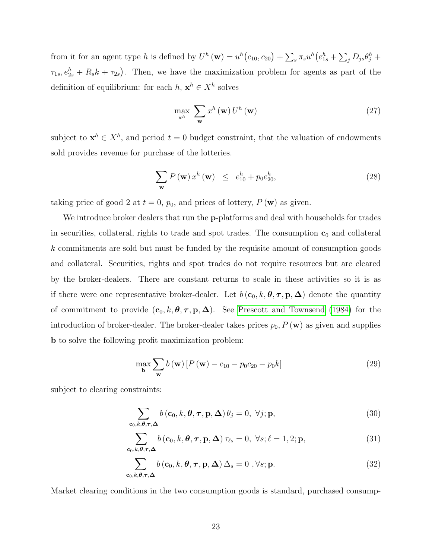from it for an agent type h is defined by  $U^h(\mathbf{w}) = u^h(c_{10}, c_{20}) + \sum_s \pi_s u^h(e_{1s}^h + \sum_j D_{js} \theta_j^h +$  $\tau_{1s}, e_{2s}^h + R_s k + \tau_{2s}$ . Then, we have the maximization problem for agents as part of the definition of equilibrium: for each  $h, x^h \in X^h$  solves

<span id="page-22-0"></span>
$$
\max_{\mathbf{x}^{h}} \sum_{\mathbf{w}} x^{h}(\mathbf{w}) U^{h}(\mathbf{w})
$$
\n(27)

subject to  $\mathbf{x}^h \in X^h$ , and period  $t = 0$  budget constraint, that the valuation of endowments sold provides revenue for purchase of the lotteries.

$$
\sum_{\mathbf{w}} P(\mathbf{w}) x^h(\mathbf{w}) \le e_{10}^h + p_0 e_{20}^h,
$$
\n(28)

taking price of good 2 at  $t = 0$ ,  $p_0$ , and prices of lottery,  $P(\mathbf{w})$  as given.

We introduce broker dealers that run the p-platforms and deal with households for trades in securities, collateral, rights to trade and spot trades. The consumption  $c_0$  and collateral k commitments are sold but must be funded by the requisite amount of consumption goods and collateral. Securities, rights and spot trades do not require resources but are cleared by the broker-dealers. There are constant returns to scale in these activities so it is as if there were one representative broker-dealer. Let  $b(c_0, k, \theta, \tau, \mathbf{p}, \Delta)$  denote the quantity of commitment to provide  $(c_0, k, \theta, \tau, p, \Delta)$ . See [Prescott and Townsend](#page-21-1) [\(1984\)](#page-21-1) for the introduction of broker-dealer. The broker-dealer takes prices  $p_0$ ,  $P(\mathbf{w})$  as given and supplies b to solve the following profit maximization problem:

<span id="page-22-2"></span><span id="page-22-1"></span>
$$
\max_{\mathbf{b}} \sum_{\mathbf{w}} b(\mathbf{w}) \left[ P(\mathbf{w}) - c_{10} - p_0 c_{20} - p_0 k \right]
$$
 (29)

subject to clearing constraints:

$$
\sum_{\mathbf{c}_0, k, \theta, \tau, \Delta} b(\mathbf{c}_0, k, \theta, \tau, \mathbf{p}, \Delta) \theta_j = 0, \ \forall j; \mathbf{p},
$$
\n(30)

$$
\sum_{\mathbf{c}_0,k,\boldsymbol{\theta},\boldsymbol{\tau},\boldsymbol{\Delta}} b\left(\mathbf{c}_0,k,\boldsymbol{\theta},\boldsymbol{\tau},\mathbf{p},\boldsymbol{\Delta}\right)\tau_{\ell s}=0, \ \forall s;\ell=1,2;\mathbf{p},\tag{31}
$$

<span id="page-22-3"></span>
$$
\sum_{\mathbf{c}_0, k, \theta, \tau, \Delta} b(\mathbf{c}_0, k, \theta, \tau, \mathbf{p}, \Delta) \Delta_s = 0, \forall s; \mathbf{p}.
$$
 (32)

Market clearing conditions in the two consumption goods is standard, purchased consump-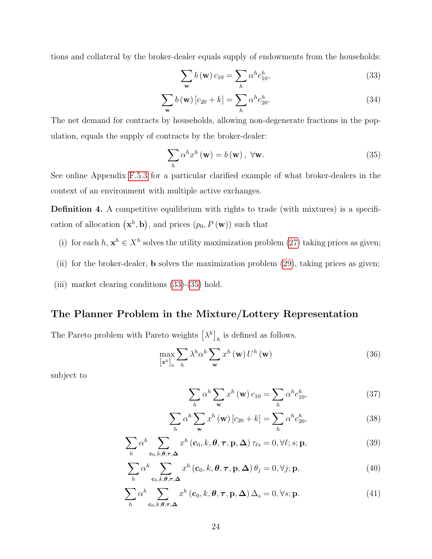tions and collateral by the broker-dealer equals supply of endowments from the households:

<span id="page-23-1"></span><span id="page-23-0"></span>
$$
\sum_{\mathbf{w}} b(\mathbf{w}) c_{10} = \sum_{h} \alpha^h e_{10}^h,
$$
\n(33)

$$
\sum_{\mathbf{w}} b(\mathbf{w}) [c_{20} + k] = \sum_{h} \alpha^{h} e_{20}^{h}.
$$
 (34)

The net demand for contracts by households, allowing non-degenerate fractions in the population, equals the supply of contracts by the broker-dealer:

$$
\sum_{h} \alpha^{h} x^{h} (\mathbf{w}) = b (\mathbf{w}), \ \forall \mathbf{w}.
$$
 (35)

See online Appendix [F.5.3](#page-0-0) for a particular clarified example of what broker-dealers in the context of an environment with multiple active exchanges.

Definition 4. A competitive equilibrium with rights to trade (with mixtures) is a specification of allocation  $(\mathbf{x}^h, \mathbf{b})$ , and prices  $(p_0, P(\mathbf{w}))$  such that

- (i) for each  $h, \mathbf{x}^h \in X^h$  solves the utility maximization problem [\(27\)](#page-22-0) taking prices as given;
- (ii) for the broker-dealer, b solves the maximization problem [\(29\)](#page-22-1), taking prices as given;
- (iii) market clearing conditions [\(33\)](#page-23-0)-[\(35\)](#page-23-1) hold.

#### The Planner Problem in the Mixture/Lottery Representation

The Pareto problem with Pareto weights  $\left[\lambda^h\right]_h$  is defined as follows.

$$
\max_{\left[\mathbf{x}^{h}\right]_{h}} \sum_{h} \lambda^{h} \alpha^{h} \sum_{\mathbf{w}} x^{h} \left(\mathbf{w}\right) U^{h} \left(\mathbf{w}\right) \tag{36}
$$

subject to

<span id="page-23-3"></span><span id="page-23-2"></span>
$$
\sum_{h} \alpha^{h} \sum_{\mathbf{w}} x^{h} (\mathbf{w}) c_{10} = \sum_{h} \alpha^{h} e_{10}^{h}, \qquad (37)
$$

$$
\sum_{h} \alpha^{h} \sum_{\mathbf{w}} x^{h} (\mathbf{w}) [c_{20} + k] = \sum_{h} \alpha^{h} e_{20}^{h}, \qquad (38)
$$

$$
\sum_{h} \alpha^{h} \sum_{\mathbf{c}_0, k, \theta, \tau, \Delta} x^{h} (\mathbf{c}_0, k, \theta, \tau, \mathbf{p}, \Delta) \tau_{\ell s} = 0, \forall \ell; s; \mathbf{p},
$$
\n(39)

$$
\sum_{h} \alpha^{h} \sum_{\mathbf{c}_{0}, k, \theta, \tau, \Delta} x^{h} (\mathbf{c}_{0}, k, \theta, \tau, \mathbf{p}, \Delta) \theta_{j} = 0, \forall j; \mathbf{p},
$$
\n(40)

$$
\sum_{h} \alpha^{h} \sum_{\mathbf{c}_{0}, k, \theta, \tau, \Delta} x^{h} (\mathbf{c}_{0}, k, \theta, \tau, \mathbf{p}, \Delta) \Delta_{s} = 0, \forall s; \mathbf{p}.
$$
 (41)